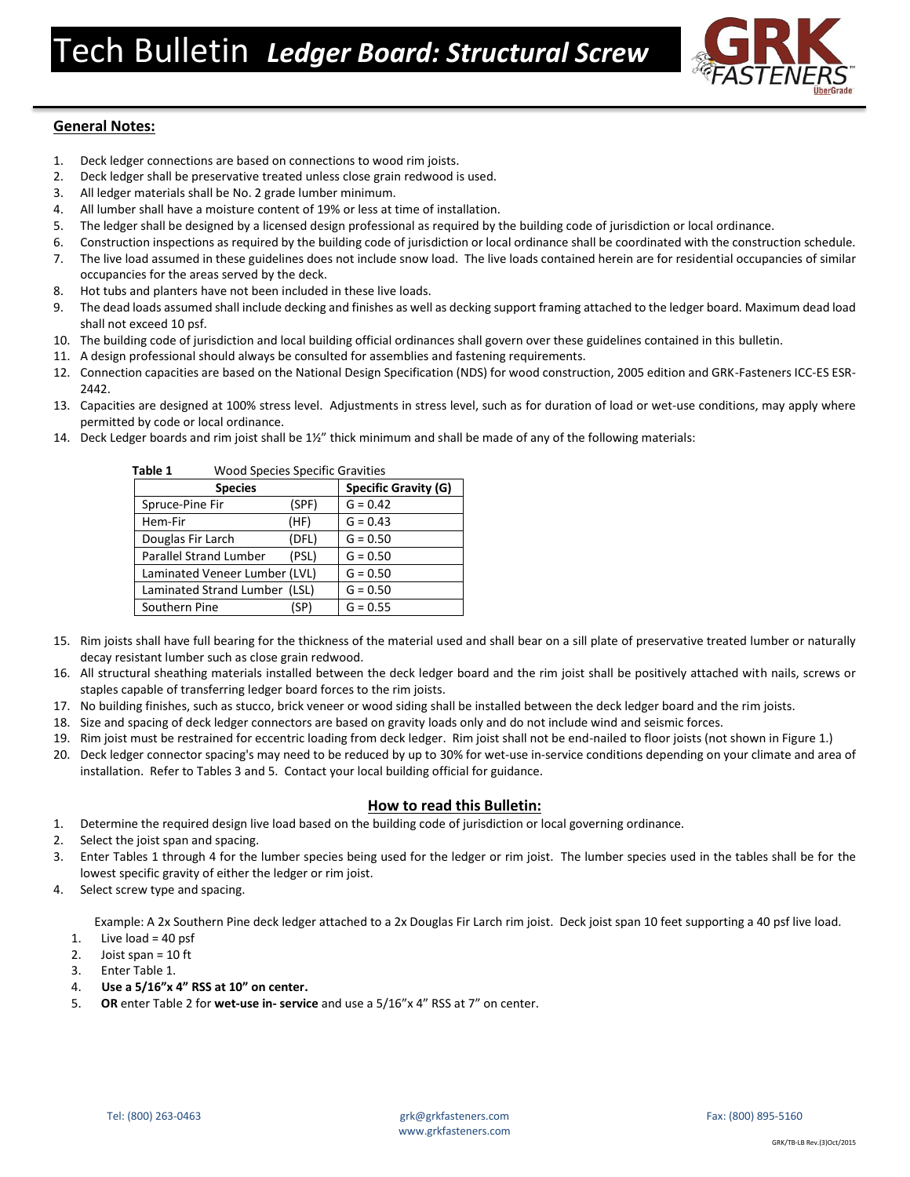

# **General Notes:**

- 1. Deck ledger connections are based on connections to wood rim joists.
- 2. Deck ledger shall be preservative treated unless close grain redwood is used.
- 3. All ledger materials shall be No. 2 grade lumber minimum.
- 4. All lumber shall have a moisture content of 19% or less at time of installation.
- 5. The ledger shall be designed by a licensed design professional as required by the building code of jurisdiction or local ordinance.
- 6. Construction inspections as required by the building code of jurisdiction or local ordinance shall be coordinated with the construction schedule.
- 7. The live load assumed in these guidelines does not include snow load. The live loads contained herein are for residential occupancies of similar occupancies for the areas served by the deck.
- 8. Hot tubs and planters have not been included in these live loads.
- 9. The dead loads assumed shall include decking and finishes as well as decking support framing attached to the ledger board. Maximum dead load shall not exceed 10 psf.
- 10. The building code of jurisdiction and local building official ordinances shall govern over these guidelines contained in this bulletin.
- 11. A design professional should always be consulted for assemblies and fastening requirements.
- 12. Connection capacities are based on the National Design Specification (NDS) for wood construction, 2005 edition and GRK-Fasteners ICC-ES ESR-2442.
- 13. Capacities are designed at 100% stress level. Adjustments in stress level, such as for duration of load or wet-use conditions, may apply where permitted by code or local ordinance.
- 14. Deck Ledger boards and rim joist shall be 1½" thick minimum and shall be made of any of the following materials:

| Table 1<br><b>Wood Species Specific Gravities</b> |                             |            |  |  |  |  |
|---------------------------------------------------|-----------------------------|------------|--|--|--|--|
| <b>Species</b>                                    | <b>Specific Gravity (G)</b> |            |  |  |  |  |
| Spruce-Pine Fir                                   | (SPF)                       | $G = 0.42$ |  |  |  |  |
| Hem-Fir                                           | (HF)                        | $G = 0.43$ |  |  |  |  |
| Douglas Fir Larch                                 | (DFL)                       | $G = 0.50$ |  |  |  |  |
| Parallel Strand Lumber                            | (PSL)                       | $G = 0.50$ |  |  |  |  |
| Laminated Veneer Lumber (LVL)                     |                             | $G = 0.50$ |  |  |  |  |
| Laminated Strand Lumber (LSL)                     |                             | $G = 0.50$ |  |  |  |  |
| Southern Pine                                     | (SP)                        | $G = 0.55$ |  |  |  |  |

- 15. Rim joists shall have full bearing for the thickness of the material used and shall bear on a sill plate of preservative treated lumber or naturally decay resistant lumber such as close grain redwood.
- 16. All structural sheathing materials installed between the deck ledger board and the rim joist shall be positively attached with nails, screws or staples capable of transferring ledger board forces to the rim joists.
- 17. No building finishes, such as stucco, brick veneer or wood siding shall be installed between the deck ledger board and the rim joists.
- 18. Size and spacing of deck ledger connectors are based on gravity loads only and do not include wind and seismic forces.
- 19. Rim joist must be restrained for eccentric loading from deck ledger. Rim joist shall not be end-nailed to floor joists (not shown in Figure 1.)
- 20. Deck ledger connector spacing's may need to be reduced by up to 30% for wet-use in-service conditions depending on your climate and area of installation. Refer to Tables 3 and 5. Contact your local building official for guidance.

### **How to read this Bulletin:**

- 1. Determine the required design live load based on the building code of jurisdiction or local governing ordinance.
- 2. Select the joist span and spacing.
- 3. Enter Tables 1 through 4 for the lumber species being used for the ledger or rim joist. The lumber species used in the tables shall be for the lowest specific gravity of either the ledger or rim joist.
- 4. Select screw type and spacing.

Example: A 2x Southern Pine deck ledger attached to a 2x Douglas Fir Larch rim joist. Deck joist span 10 feet supporting a 40 psf live load.

- 1. Live load =  $40$  psf
- 2. Joist span =  $10$  ft
- 3. Enter Table 1.
- 4. .**Use a 5/16"x 4" RSS at 10" on center.**
- 5. **OR** enter Table 2 for **wet-use in- service** and use a 5/16"x 4" RSS at 7" on center.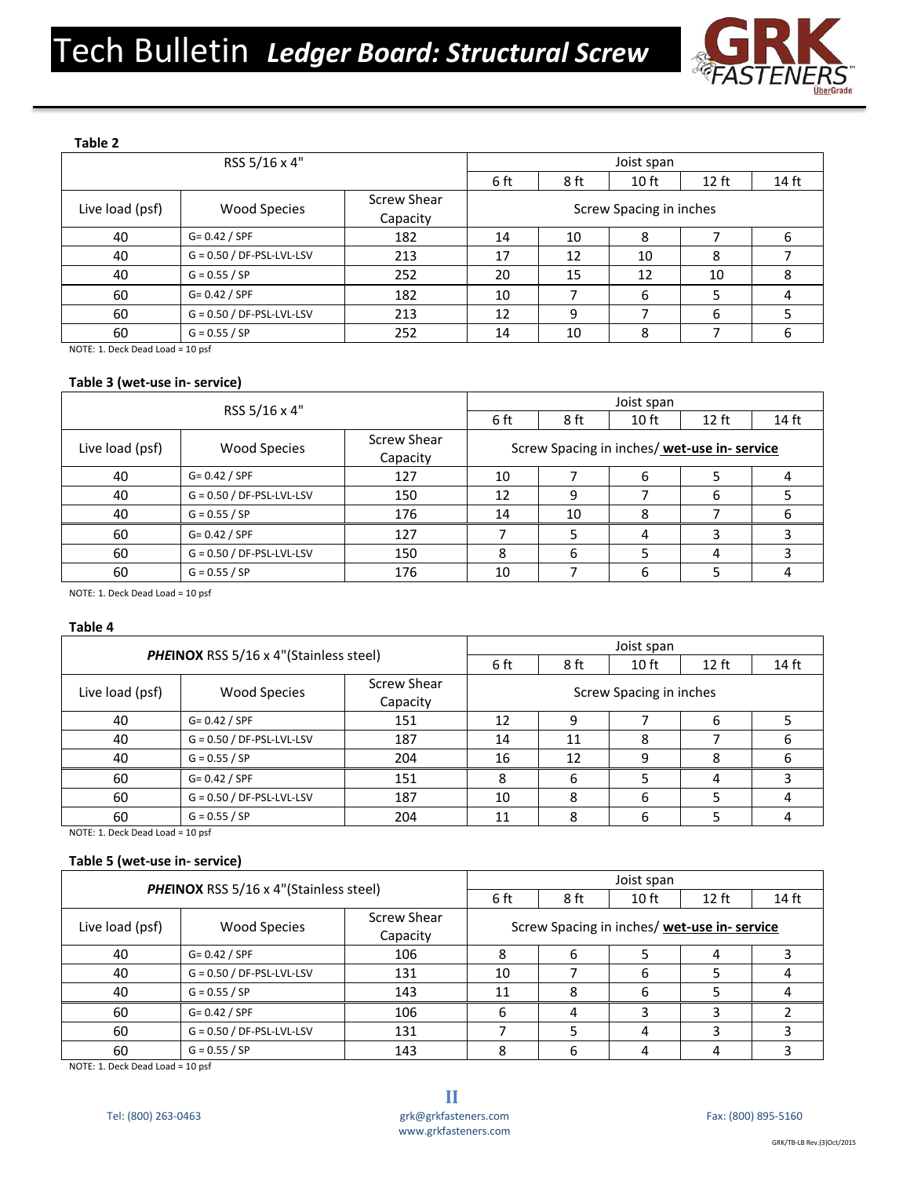

# **Table 2**

| RSS 5/16 x 4"   |                             |                         | Joist span              |      |                  |         |       |
|-----------------|-----------------------------|-------------------------|-------------------------|------|------------------|---------|-------|
|                 |                             |                         | 6 ft                    | 8 ft | 10 <sub>ft</sub> | $12$ ft | 14 ft |
| Live load (psf) | <b>Wood Species</b>         | Screw Shear<br>Capacity | Screw Spacing in inches |      |                  |         |       |
| 40              | $G = 0.42 / SPF$            | 182                     | 14                      | 10   | 8                |         | b     |
| 40              | $G = 0.50 / DF-PSL-LVL-LSV$ | 213                     | 17                      | 12   | 10               | 8       |       |
| 40              | $G = 0.55 / SP$             | 252                     | 20                      | 15   | 12               | 10      | 8     |
| 60              | $G = 0.42 / SPF$            | 182                     | 10                      |      | 6                |         |       |
| 60              | $G = 0.50 / DF-PSL-LVL-LSV$ | 213                     | 12                      | 9    |                  | 6       |       |
| 60              | $G = 0.55 / SP$             | 252                     | 14                      | 10   | 8                |         |       |

NOTE: 1. Deck Dead Load = 10 psf

# **Table 3 (wet-use in- service)**

| RSS 5/16 x 4"   |                             | Joist span              |                                              |                  |         |       |   |
|-----------------|-----------------------------|-------------------------|----------------------------------------------|------------------|---------|-------|---|
|                 |                             | 6 ft                    | 8 ft                                         | 10 <sub>ft</sub> | $12$ ft | 14 ft |   |
| Live load (psf) | <b>Wood Species</b>         | Screw Shear<br>Capacity | Screw Spacing in inches/ wet-use in- service |                  |         |       |   |
| 40              | $G = 0.42 / SPF$            | 127                     | 10                                           |                  | b       |       |   |
| 40              | $G = 0.50 / DF-PSL-LVL-LSV$ | 150                     | 12                                           | 9                |         | 6     |   |
| 40              | $G = 0.55 / SP$             | 176                     | 14                                           | 10               | 8       |       | h |
| 60              | $G = 0.42 / SPF$            | 127                     |                                              |                  | 4       |       |   |
| 60              | $G = 0.50 / DF-PSL-LVL-LSV$ | 150                     | 8                                            | 6                |         | 4     |   |
| 60              | $G = 0.55 / SP$             | 176                     | 10                                           |                  | 6       |       |   |

NOTE: 1. Deck Dead Load = 10 psf

### **Table 4**

| <b>PHEINOX RSS 5/16 x 4"(Stainless steel)</b> |                             | Joist span              |                         |                  |         |       |  |
|-----------------------------------------------|-----------------------------|-------------------------|-------------------------|------------------|---------|-------|--|
|                                               |                             | 6 ft                    | 8 ft                    | 10 <sub>ft</sub> | $12$ ft | 14 ft |  |
| Live load (psf)                               | <b>Wood Species</b>         | Screw Shear<br>Capacity | Screw Spacing in inches |                  |         |       |  |
| 40                                            | $G = 0.42 / SPF$            | 151                     | 12                      |                  |         | ь     |  |
| 40                                            | $G = 0.50 / DF-PSL-LVL-LSV$ | 187                     | 14                      | 11               | 8       |       |  |
| 40                                            | $G = 0.55 / SP$             | 204                     | 16                      | 12               | 9       |       |  |
| 60                                            | $G = 0.42 / SPF$            | 151                     | 8                       | 6                |         | 4     |  |
| 60                                            | $G = 0.50 / DF-PSL-LVL-LSV$ | 187                     | 10                      | 8                | 6       |       |  |
| 60                                            | $G = 0.55 / SP$             | 204                     | 11                      | 8                |         |       |  |

NOTE: 1. Deck Dead Load = 10 psf

# **Table 5 (wet-use in- service)**

| <b>PHEINOX RSS 5/16 x 4"(Stainless steel)</b> |                             | Joist span              |                                              |                  |         |       |  |
|-----------------------------------------------|-----------------------------|-------------------------|----------------------------------------------|------------------|---------|-------|--|
|                                               |                             | 6 ft                    | 8 ft                                         | 10 <sub>ft</sub> | $12$ ft | 14 ft |  |
| Live load (psf)                               | <b>Wood Species</b>         | Screw Shear<br>Capacity | Screw Spacing in inches/ wet-use in- service |                  |         |       |  |
| 40                                            | $G = 0.42 / SPF$            | 106                     | 8                                            | b                |         | 4     |  |
| 40                                            | $G = 0.50 / DF-PSL-LVL-LSV$ | 131                     | 10                                           |                  | b       |       |  |
| 40                                            | $G = 0.55 / SP$             | 143                     | 11                                           | 8                | 6       |       |  |
| 60                                            | $G = 0.42 / SPF$            | 106                     | b                                            | 4                |         |       |  |
| 60                                            | $G = 0.50 / DF-PSL-LVL-LSV$ | 131                     |                                              |                  |         |       |  |
| 60                                            | $G = 0.55 / SP$             | 143                     | 8                                            | 6                |         |       |  |

NOTE: 1. Deck Dead Load = 10 psf